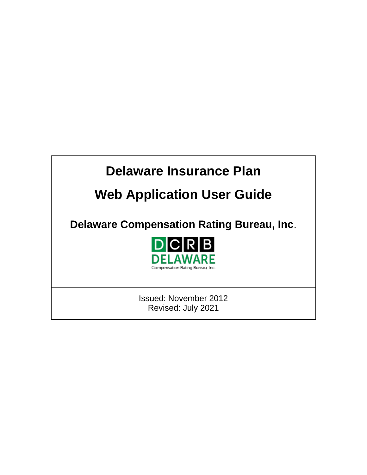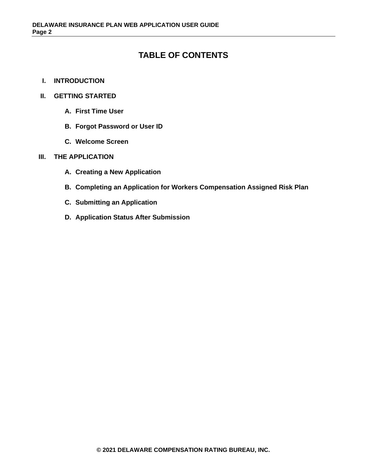# **TABLE OF CONTENTS**

- **I. INTRODUCTION**
- **II. GETTING STARTED**
	- **A. First Time User**
	- **B. Forgot Password or User ID**
	- **C. Welcome Screen**

#### **III. THE APPLICATION**

- **A. Creating a New Application**
- **B. Completing an Application for Workers Compensation Assigned Risk Plan**
- **C. Submitting an Application**
- **D. Application Status After Submission**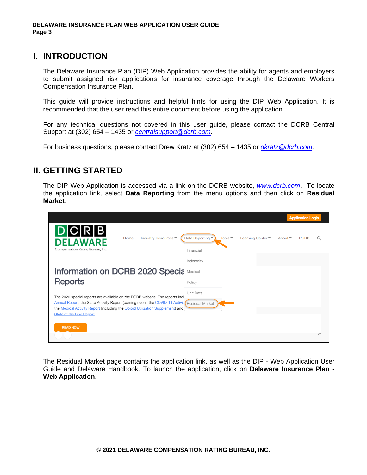## **I. INTRODUCTION**

The Delaware Insurance Plan (DIP) Web Application provides the ability for agents and employers to submit assigned risk applications for insurance coverage through the Delaware Workers Compensation Insurance Plan.

This guide will provide instructions and helpful hints for using the DIP Web Application. It is recommended that the user read this entire document before using the application.

For any technical questions not covered in this user guide, please contact the DCRB Central Support at (302) 654 – 1435 or *[centralsupport@dcrb.com](mailto:centralsupport@dcrb.com)*.

For business questions, please contact Drew Kratz at (302) 654 – 1435 or *[dkratz@dcrb.com](mailto:dkratz@dcrb.com)*.

# **II. GETTING STARTED**

The DIP Web Application is accessed via a link on the DCRB website, *[www.dcrb.com](http://www.dcrb.com/)*. To locate the application link, select **Data Reporting** from the menu options and then click on **Residual Market**.

|                                                                                                                                                                                |                             |                            |                   |                | <b>Application Login</b> |     |
|--------------------------------------------------------------------------------------------------------------------------------------------------------------------------------|-----------------------------|----------------------------|-------------------|----------------|--------------------------|-----|
| D C R B <br>Industry Resources ▼<br>Home<br><b>DELAWARE</b><br>Compensation Rating Bureau, Inc.                                                                                | Data Reporting<br>Financial | Tools $\blacktriangledown$ | Learning Center ~ | About $\equiv$ | <b>PCRB</b>              |     |
|                                                                                                                                                                                | Indemnity                   |                            |                   |                |                          |     |
| Information on DCRB 2020 Specia                                                                                                                                                | Medical                     |                            |                   |                |                          |     |
| <b>Reports</b>                                                                                                                                                                 | Policy                      |                            |                   |                |                          |     |
| The 2020 special reports are available on the DCRB website. The reports incli                                                                                                  | Unit Data                   |                            |                   |                |                          |     |
| Annual Report, the State Activity Report (coming soon), the COVID-19 Activity Residual Market<br>the Medical Activity Report (including the Opioid Utilization Supplement) and |                             |                            |                   |                |                          |     |
| State of the Line Report.                                                                                                                                                      |                             |                            |                   |                |                          |     |
| <b>READ NOW</b>                                                                                                                                                                |                             |                            |                   |                |                          |     |
|                                                                                                                                                                                |                             |                            |                   |                |                          | 1/2 |

The Residual Market page contains the application link, as well as the DIP - Web Application User Guide and Delaware Handbook. To launch the application, click on **Delaware Insurance Plan - Web Application**.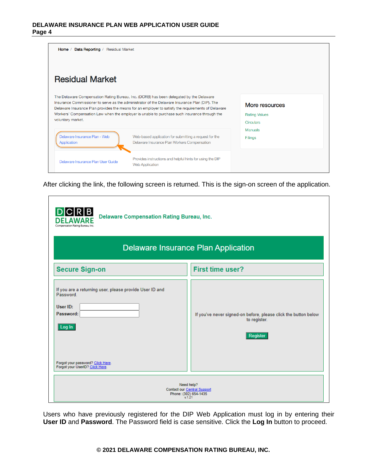| Data Reporting / Residual Market<br>Home $/$ |                                                                                                                                                                                                                                                                                                                                                                                                 |                                                     |
|----------------------------------------------|-------------------------------------------------------------------------------------------------------------------------------------------------------------------------------------------------------------------------------------------------------------------------------------------------------------------------------------------------------------------------------------------------|-----------------------------------------------------|
| <b>Residual Market</b>                       |                                                                                                                                                                                                                                                                                                                                                                                                 |                                                     |
| voluntary market.                            | The Delaware Compensation Rating Bureau, Inc. (DCRB) has been delegated by the Delaware<br>Insurance Commissioner to serve as the administrator of the Delaware Insurance Plan (DIP). The<br>Delaware Insurance Plan provides the means for an employer to satisfy the requirements of Delaware<br>Workers' Compensation Law when the employer is unable to purchase such insurance through the | More resources<br><b>Rating Values</b><br>Circulars |
| Delaware Insurance Plan - Web<br>Application | Web-based application for submitting a request for the<br>Delaware Insurance Plan Workers Compensation                                                                                                                                                                                                                                                                                          | <b>Manuals</b><br><b>Filings</b>                    |
| Delaware Insurance Plan User Guide           | Provides instructions and helpful hints for using the DIP<br><b>Web Application</b>                                                                                                                                                                                                                                                                                                             |                                                     |

After clicking the link, the following screen is returned. This is the sign-on screen of the application.

| R <sub>IB</sub><br><b>Delaware Compensation Rating Bureau, Inc.</b><br>Compensation Rating Bureau, Inc.                                                                        |                                                                                             |  |
|--------------------------------------------------------------------------------------------------------------------------------------------------------------------------------|---------------------------------------------------------------------------------------------|--|
| <b>Delaware Insurance Plan Application</b>                                                                                                                                     |                                                                                             |  |
| <b>Secure Sign-on</b>                                                                                                                                                          | <b>First time user?</b>                                                                     |  |
| If you are a returning user, please provide User ID and<br>Password<br>User ID:<br>Password:<br>Log In<br>Forgot your password? Click Here.<br>Forgot your UserID? Click Here. | If you've never signed-on before, please click the button below<br>to register.<br>Register |  |
| Need help?<br><b>Contact our Central Support</b><br>Phone: (302) 654-1435<br>v.1.21                                                                                            |                                                                                             |  |

Users who have previously registered for the DIP Web Application must log in by entering their **User ID** and **Password**. The Password field is case sensitive. Click the **Log In** button to proceed.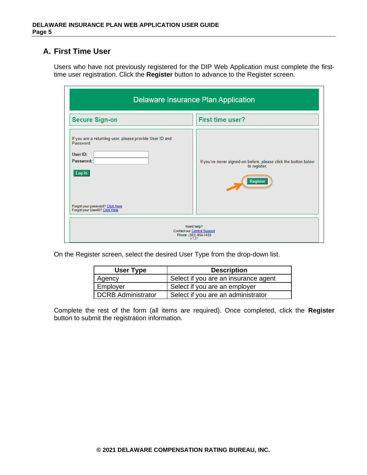### **A. First Time User**

Users who have not previously registered for the DIP Web Application must complete the firsttime user registration. Click the **Register** button to advance to the Register screen.

| <b>Delaware Insurance Plan Application</b>                                                                                                                                       |                                                                                             |
|----------------------------------------------------------------------------------------------------------------------------------------------------------------------------------|---------------------------------------------------------------------------------------------|
| <b>Secure Sign-on</b>                                                                                                                                                            | <b>First time user?</b>                                                                     |
| If you are a returning user, please provide User ID and<br>Password<br>User ID:<br>Password:<br>  Log In<br>Forgot your password? Click Here.<br>Forgot your UserID? Click Here. | If you've never signed-on before, please click the button below<br>to register.<br>Register |
|                                                                                                                                                                                  | Need help?<br><b>Contact our Central Support</b><br>Phone: (302) 654-1435<br>v 1.21         |

On the Register screen, select the desired User Type from the drop-down list.

| User Type          | <b>Description</b>                   |
|--------------------|--------------------------------------|
| Agency             | Select if you are an insurance agent |
| Employer           | Select if you are an employer        |
| DCRB Administrator | Select if you are an administrator   |

Complete the rest of the form (all items are required). Once completed, click the **Register** button to submit the registration information.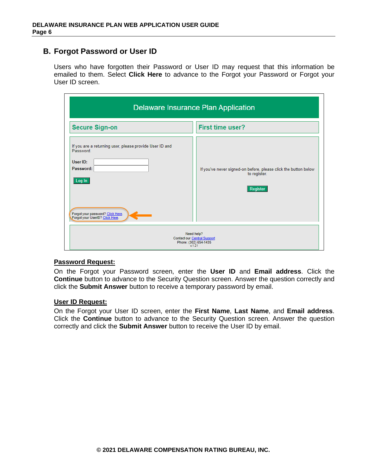### **B. Forgot Password or User ID**

Users who have forgotten their Password or User ID may request that this information be emailed to them. Select **Click Here** to advance to the Forgot your Password or Forgot your User ID screen.

| <b>Delaware Insurance Plan Application</b>                                                                                                                                     |                                                                                             |
|--------------------------------------------------------------------------------------------------------------------------------------------------------------------------------|---------------------------------------------------------------------------------------------|
| <b>Secure Sign-on</b>                                                                                                                                                          | <b>First time user?</b>                                                                     |
| If you are a returning user, please provide User ID and<br>Password<br>User ID:<br>Password:<br>Log In<br>Forgot your password? Click Here.<br>Forgot your UserID? Click Here. | If you've never signed-on before, please click the button below<br>to register.<br>Register |
| Need help?<br><b>Contact our Central Support</b><br>Phone: (302) 654-1435<br>x 1.21                                                                                            |                                                                                             |

#### **Password Request:**

On the Forgot your Password screen, enter the **User ID** and **Email address**. Click the **Continue** button to advance to the Security Question screen. Answer the question correctly and click the **Submit Answer** button to receive a temporary password by email.

### **User ID Request:**

On the Forgot your User ID screen, enter the **First Name**, **Last Name**, and **Email address**. Click the **Continue** button to advance to the Security Question screen. Answer the question correctly and click the **Submit Answer** button to receive the User ID by email.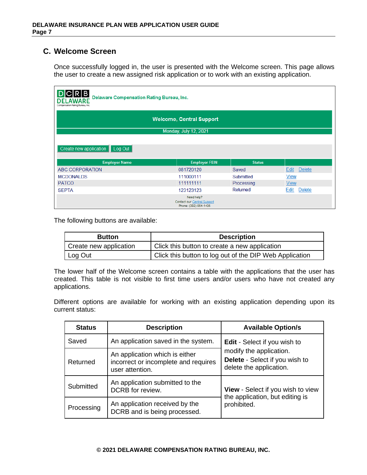## **C. Welcome Screen**

Once successfully logged in, the user is presented with the Welcome screen. This page allows the user to create a new assigned risk application or to work with an existing application.

| R B <br>Delaware Compensation Rating Bureau, Inc.<br>Compensation Rating Bureau Inc. |                                                                           |               |                       |
|--------------------------------------------------------------------------------------|---------------------------------------------------------------------------|---------------|-----------------------|
|                                                                                      | <b>Welcome, Central Support</b>                                           |               |                       |
|                                                                                      | Monday, July 12, 2021                                                     |               |                       |
|                                                                                      |                                                                           |               |                       |
| Create new application Log Out                                                       |                                                                           |               |                       |
| <b>Employer Name</b>                                                                 | <b>Employer FEIN</b>                                                      | <b>Status</b> |                       |
| ABC CORPORATION                                                                      | 081720120                                                                 | Saved         | <b>Delete</b><br>Edit |
| <b>MCDONALDS</b>                                                                     | 111000111                                                                 | Submitted     | <b>View</b>           |
| <b>PATCO</b>                                                                         | 111111111                                                                 | Processing    | <b>View</b>           |
| <b>SEPTA</b>                                                                         | 123123123                                                                 | Returned      | Edit<br><b>Delete</b> |
|                                                                                      | Need help?<br><b>Contact our Central Support</b><br>Phone: (302) 654-1435 |               |                       |

The following buttons are available:

| <b>Button</b>          | <b>Description</b>                                      |
|------------------------|---------------------------------------------------------|
| Create new application | Click this button to create a new application           |
| Log Out                | Click this button to log out of the DIP Web Application |

The lower half of the Welcome screen contains a table with the applications that the user has created. This table is not visible to first time users and/or users who have not created any applications.

Different options are available for working with an existing application depending upon its current status:

| <b>Status</b> | <b>Description</b>                                                                        | <b>Available Option/s</b>                                                            |
|---------------|-------------------------------------------------------------------------------------------|--------------------------------------------------------------------------------------|
| Saved         | An application saved in the system.                                                       | <b>Edit</b> - Select if you wish to                                                  |
| Returned      | An application which is either<br>incorrect or incomplete and requires<br>user attention. | modify the application.<br>Delete - Select if you wish to<br>delete the application. |
| Submitted     | An application submitted to the<br>DCRB for review.                                       | <b>View</b> - Select if you wish to view<br>the application, but editing is          |
| Processing    | An application received by the<br>DCRB and is being processed.                            | prohibited.                                                                          |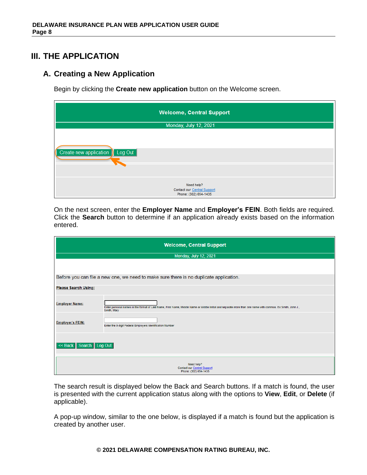# **III. THE APPLICATION**

## **A. Creating a New Application**

Begin by clicking the **Create new application** button on the Welcome screen.

| <b>Welcome, Central Support</b>                                    |
|--------------------------------------------------------------------|
| Monday, July 12, 2021                                              |
| Create new application   Log Out                                   |
| Need help?<br>Contact our Central Support<br>Phone: (302) 654-1435 |

On the next screen, enter the **Employer Name** and **Employer's FEIN**. Both fields are required. Click the **Search** button to determine if an application already exists based on the information entered.

| <b>Welcome, Central Support</b>                                           |                                                                                                                                                                           |  |
|---------------------------------------------------------------------------|---------------------------------------------------------------------------------------------------------------------------------------------------------------------------|--|
|                                                                           | Monday, July 12, 2021                                                                                                                                                     |  |
|                                                                           |                                                                                                                                                                           |  |
|                                                                           | Before you can file a new one, we need to make sure there is no duplicate application.                                                                                    |  |
| <b>Please Search Using:</b>                                               |                                                                                                                                                                           |  |
| <b>Employer Name:</b>                                                     | Enter personal names in the format of Last Name, First Name, Middle Name or Middle Initial and separate more than one name with commas. Ex:Smith, John J.,<br>Smith, Mary |  |
| <b>Employer's FEIN:</b>                                                   | Enter the 9-digit Federal Employers Identification Number                                                                                                                 |  |
| << Back Search Log Out                                                    |                                                                                                                                                                           |  |
| Need help?<br><b>Contact our Central Support</b><br>Phone: (302) 654-1435 |                                                                                                                                                                           |  |

The search result is displayed below the Back and Search buttons. If a match is found, the user is presented with the current application status along with the options to **View**, **Edit**, or **Delete** (if applicable).

A pop-up window, similar to the one below, is displayed if a match is found but the application is created by another user.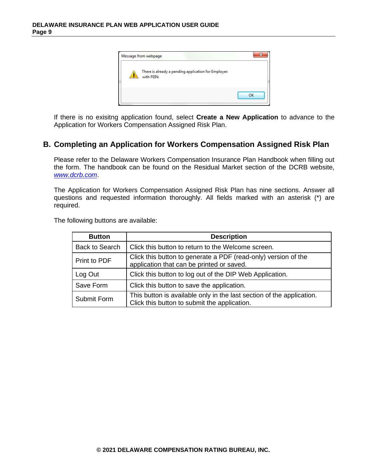

If there is no exisitng application found, select **Create a New Application** to advance to the Application for Workers Compensation Assigned Risk Plan.

### **B. Completing an Application for Workers Compensation Assigned Risk Plan**

Please refer to the [Delaware Workers Compensation Insurance Plan Handbook](http://www.pcrb.com/dcrb/del_ins_plan/Files/Assigned%20Risk%20Handbook.pdf) when filling out the form. The handbook can be found on the Residual Market section of the DCRB website, *[www.dcrb.com](http://www.dcrb.com/)*.

The Application for Workers Compensation Assigned Risk Plan has nine sections. Answer all questions and requested information thoroughly. All fields marked with an asterisk (\*) are required.

The following buttons are available:

| <b>Button</b>         | <b>Description</b>                                                                                                    |
|-----------------------|-----------------------------------------------------------------------------------------------------------------------|
| <b>Back to Search</b> | Click this button to return to the Welcome screen.                                                                    |
| Print to PDF          | Click this button to generate a PDF (read-only) version of the<br>application that can be printed or saved.           |
| Log Out               | Click this button to log out of the DIP Web Application.                                                              |
| Save Form             | Click this button to save the application.                                                                            |
| <b>Submit Form</b>    | This button is available only in the last section of the application.<br>Click this button to submit the application. |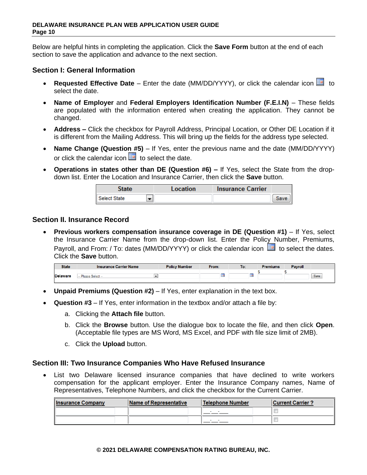Below are helpful hints in completing the application. Click the **Save Form** button at the end of each section to save the application and advance to the next section.

### **Section I: General Information**

- **Requested Effective Date** Enter the date (MM/DD/YYYY), or click the calendar icon **the** to select the date.
- **Name of Employer** and **Federal Employers Identification Number (F.E.I.N)** These fields are populated with the information entered when creating the application. They cannot be changed.
- **Address –** Click the checkbox for Payroll Address, Principal Location, or Other DE Location if it is different from the Mailing Address. This will bring up the fields for the address type selected.
- **Name Change (Question #5)** If Yes, enter the previous name and the date (MM/DD/YYYY) or click the calendar icon  $\overline{H}$  to select the date.
- **Operations in states other than DE (Question #6) –** If Yes, select the State from the dropdown list. Enter the Location and Insurance Carrier, then click the **Save** button.

| State               | Location | <b>Insurance Carrier</b> |  |
|---------------------|----------|--------------------------|--|
| <b>Select State</b> |          |                          |  |

### **Section II. Insurance Record**

• **Previous workers compensation insurance coverage in DE (Question #1)** – If Yes, select the Insurance Carrier Name from the drop-down list. Enter the Policy Number, Premiums, Payroll, and From: / To: dates (MM/DD/YYYY) or click the calendar icon  $\overline{1,1}$  to select the dates. Click the **Save** button.

| <b>State</b>    | <b>Insurance Carrier Name</b> | <b>Policy Number</b> | From: | To: | <b>Premiums</b> | <b>Payroll</b> |      |
|-----------------|-------------------------------|----------------------|-------|-----|-----------------|----------------|------|
| <b>Delaware</b> | - Please Select -             |                      |       |     |                 |                | Save |

- **Unpaid Premiums (Question #2)** If Yes, enter explanation in the text box.
- **Question #3** If Yes, enter information in the textbox and/or attach a file by:
	- a. Clicking the **Attach file** button.
	- b. Click the **Browse** button. Use the dialogue box to locate the file, and then click **Open**. (Acceptable file types are MS Word, MS Excel, and PDF with file size limit of 2MB).
	- c. Click the **Upload** button.

### **Section III: Two Insurance Companies Who Have Refused Insurance**

• List two Delaware licensed insurance companies that have declined to write workers compensation for the applicant employer. Enter the Insurance Company names, Name of Representatives, Telephone Numbers, and click the checkbox for the Current Carrier.

| <b>Insurance Company</b> | Name of Representative | <b>Telephone Number</b> | <b>Current Carrier ?</b> |
|--------------------------|------------------------|-------------------------|--------------------------|
|                          |                        |                         |                          |
|                          |                        |                         |                          |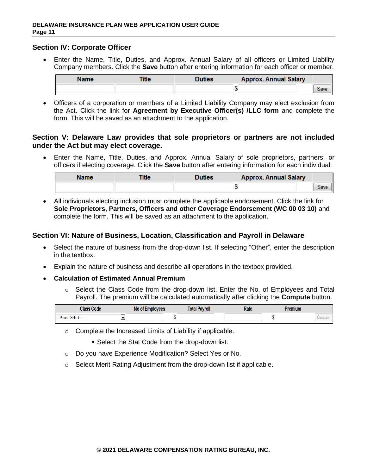#### **Section IV: Corporate Officer**

• Enter the Name, Title, Duties, and Approx. Annual Salary of all officers or Limited Liability Company members. Click the **Save** button after entering information for each officer or member.

| <b>Name</b> | <b>Title</b> | Duties | <b>Approx. Annual Salary</b> |      |
|-------------|--------------|--------|------------------------------|------|
|             |              |        |                              | Save |

• Officers of a corporation or members of a Limited Liability Company may elect exclusion from the Act. Click the link for **Agreement by Executive Officer(s) /LLC form** and complete the form. This will be saved as an attachment to the application.

#### **Section V: Delaware Law provides that sole proprietors or partners are not included under the Act but may elect coverage.**

• Enter the Name, Title, Duties, and Approx. Annual Salary of sole proprietors, partners, or officers if electing coverage. Click the **Save** button after entering information for each individual.

| <b>Name</b> | Title | Duties | <b>Approx. Annual Salary</b> |      |
|-------------|-------|--------|------------------------------|------|
|             |       |        |                              | Save |

• All individuals electing inclusion must complete the applicable endorsement. Click the link for **Sole Proprietors, Partners, Officers and other Coverage Endorsement (WC 00 03 10)** and complete the form. This will be saved as an attachment to the application.

### **Section VI: Nature of Business, Location, Classification and Payroll in Delaware**

- Select the nature of business from the drop-down list. If selecting "Other", enter the description in the textbox.
- Explain the nature of business and describe all operations in the textbox provided.
- **Calculation of Estimated Annual Premium**
	- $\circ$  Select the Class Code from the drop-down list. Enter the No. of Employees and Total Payroll. The premium will be calculated automatically after clicking the **Compute** button.

| <b>Class Code</b>   | No of Employees | Total Payroll | Rate | Premium |  |
|---------------------|-----------------|---------------|------|---------|--|
| -- Please Select -- |                 |               |      |         |  |

o Complete the Increased Limits of Liability if applicable.

■ Select the Stat Code from the drop-down list.

- o Do you have Experience Modification? Select Yes or No.
- $\circ$  Select Merit Rating Adjustment from the drop-down list if applicable.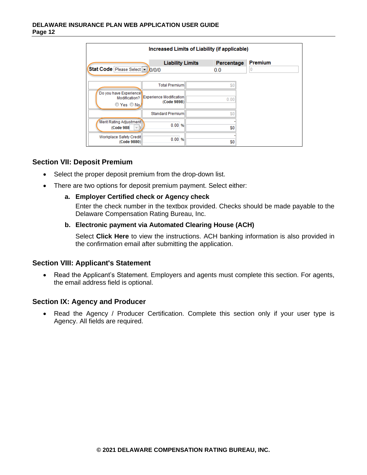| Increased Limits of Liability (if applicable)                    |                                                                |  |                   |              |  |
|------------------------------------------------------------------|----------------------------------------------------------------|--|-------------------|--------------|--|
| Stat Code Please Select -                                        | <b>Liability Limits</b><br>0/0/0                               |  | Percentage<br>0.0 | Premium<br>U |  |
| Do you have Experience<br>Modification?<br>© Yes © No.           | <b>Total Premium</b><br>Experience Modification<br>(Code 9898) |  | \$0<br>0.00       |              |  |
| <b>Merit Rating Adjustment</b><br>(Code 988)<br>$=$ $\mathbf{p}$ | Standard Premium<br>0.00%                                      |  | \$0<br>\$0        |              |  |
| <b>Workplace Safety Credit</b><br>(Code 9880)                    | 0.00%                                                          |  | \$0               |              |  |

### **Section VII: Deposit Premium**

- Select the proper deposit premium from the drop-down list.
- There are two options for deposit premium payment. Select either:

#### **a. Employer Certified check or Agency check**

Enter the check number in the textbox provided. Checks should be made payable to the Delaware Compensation Rating Bureau, Inc.

#### **b. Electronic payment via Automated Clearing House (ACH)**

Select **Click Here** to view the instructions. ACH banking information is also provided in the confirmation email after submitting the application.

### **Section VIII: Applicant's Statement**

• Read the Applicant's Statement. Employers and agents must complete this section. For agents, the email address field is optional.

### **Section IX: Agency and Producer**

• Read the Agency / Producer Certification. Complete this section only if your user type is Agency. All fields are required.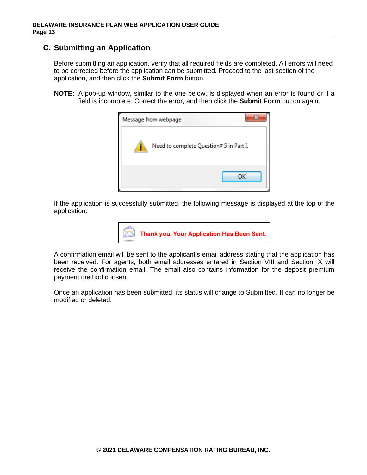## **C. Submitting an Application**

Before submitting an application, verify that all required fields are completed. All errors will need to be corrected before the application can be submitted. Proceed to the last section of the application, and then click the **Submit Form** button.

**NOTE:** A pop-up window, similar to the one below, is displayed when an error is found or if a field is incomplete. Correct the error, and then click the **Submit Form** button again.

| Message from webpage |                                         |
|----------------------|-----------------------------------------|
|                      | Need to complete Question# 5 in Part I. |
|                      | ок                                      |

If the application is successfully submitted, the following message is displayed at the top of the application:



A confirmation email will be sent to the applicant's email address stating that the application has been received. For agents, both email addresses entered in Section VIII and Section IX will receive the confirmation email. The email also contains information for the deposit premium payment method chosen.

Once an application has been submitted, its status will change to Submitted. It can no longer be modified or deleted.